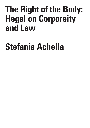## **The Right of the Body: Hegel on Corporeity and Law**

## **Stefania Achella**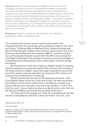**Abstract:** Recent reinterpretations of Hegel's relationship to the philosophy of nature and a new assessment of Hegel's interest for concrete and material issues have shed new light on the function of corporeity in the process of subjectification in Hegel's system. This essay aims to analyze the role of the body in the constitution of the juridical sphere in Hegel's *Outlines of Philosophy of Right*. In particular, this paper will first investigate the relationship between will and body, secondly, based on this relationship, it will explore the possibility to provide new foundations to inalienable rights; finally, it will outline a more respectful approach to the body.

**Keywords:** *Outlines, corporeity, will, freedom, auto-affection, embodiment, Hegel, inalienable rights.* 

"An ontology which leaves nature in silence shuts itself in the incorporeal and for this very reason gives a fantastic image of man, spirit and history."1 Although Maurice Merleau-Ponty's polemical target was above all the Cartesian tradition, this sentence, pronounced in one of his lectures at the Collège de France between 1956–57,<sup>2</sup> seems to suitably sum up the prejudice that the second half of the 20th century projected onto Hegel's philosophy.<sup>3</sup>The disregard of nature would have led Hegel to a metaphysical and disembodied vision of the subject, of human beings, and history.

Recent attention to the role of nature in Hegel's system is revealing that this reading is to say the least partial. The recovery of the concept of life as key element in Hegel's inquiry has made it possible to retrieve the role of the natural, material, and empirical component. This allows us to reassess also the dimension of corporeity.

While transitioning from logic to the philosophy of nature, in the *Encyclopaedia* Hegel shows how, at the end of logic, the idea dies off and lets itself go into the world, finding itself in the body as a simple living being. From this point onwards it overcomes the condition "in which it is only Life, and [...] gives itself an existence as Spirit, which is the truth and the final goal of Nature and the genuine actuality of the Idea."4

The meaning of this passage can hardly be misunderstood: life does not have a metaphysical character, it does not remain "only life," *pure*

4 Hegel 2004, § 251.

I S I S & C R I T I Q U E /

C R

<sup>1</sup> Merleau-Ponty 1970, p. 62.

<sup>2</sup> Cf. Deranty 2021.

<sup>3</sup> Malabou and Butler also emphasize the explicit absence of any reference to the body in the lordship-bondage dialectic, which is also centered on the body as it is a struggle for life and death. Cf. Malabou/Butler 2011.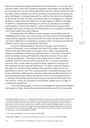*being*, but it becomes body, individualized life, and only in it can the spirit express itself.<sup>5</sup> From this viewpoint, Hegelian philosophy can be taken as an ontology that, far from being detached from the natural world and from the body, rather qualifies as a *living ontology*. This amounts to saying not only that Hegel's ontology features the need for the idea to be embodied in the living, but that it is also constantly open to contingency in order to be able to understand this latter as a living organism.6 What is at stake is neither a fundamental ontology nor a form of naturalism, but rather a philosophy in which the subject is not an abstract and transcendent thought, but human beings who find themselves in an original correlation with other bodies, the world, Nature.

Consequently, the reflexive consciousness irrevocably loses its metaphysical primacy over corporeality, and the process of knowledge is presented as originally intertwined with the empirical and finite. There is not only a reflection on experience, but also a form of experience that the subject carries out as an embodied individual.

In such a reinterpretation, the body no longer acts merely as a neutral threshold, or as a ballast from which the subject must free itself on the path that leads to the spirit, but it rather represents the subject's possibility of knowing itself and others, of acting in the world and of creating social, political and cultural structures. As we read in the *Encyclopaedia*: "The body is the middle term by which I come together with the external world in general. So, if I want to actualise my aims, then I must make my physical body capable of carrying out this subjectivity into external objectivity."7 In other words, the body is the place of communication between the elements which act on me and those on which I act. This communication is possible because of a living connection defining the reciprocal interweaving. No distinction is here posited between nature and spirit; no form of primordial dualism is outlined. The background to this common framework that binds us to the world is, in fact, an ontology of constraints, bonds, and no longer of constitutive properties.

In the following pages, I will try to investigate to what extent Hegel's philosophy of right, namely the relationship between will and corporeity

10

7 Hegel 2007, § 408Z. For a recent and comprehensive study on this aspect, see Mowad 2019.

& C R I T I Q U E / Volume 8 Issue 2

C R I S I S

<sup>5</sup> As Angelica Nuzzo points out, in Hegelian philosophy the body must be understood as incorporated or objective thought, because only in these terms can it oppose the dead fixation of the intellect: a soul without a body would not make sense for Hegel. Starting from the analysis of Kant's third Critique, Nuzzo shows how this requirement is already present in Kant, but Hegel makes it more inclusive, extending the dimension of thought to all living things and including mechanism and chemism as dialectical moments. See Nuzzo 2007, pp. 97–101. On the link between realization of thought and incorporation, see also Halbig 2002, pp. 126 ff.

<sup>6</sup> I have discussed Hegel's living ontology in: Achella 2020.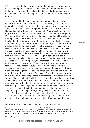it features, reflects the previously outlined standpoint;<sup>8</sup> in what sense re-establishing the primacy of the body can provide foundation to certain inalienable rights; and finally, how the dialectical relationship between will and body can serve to imagine a more respectful relationship with corporeity.

1. Interest in the body pervades the literary, philosophical, and scientific inquiries of the *Goethe Zeit.*<sup>9</sup> As intensively as Lavater's research into physiognomy and Gall's phrenology, several figures of the *Populaerphilosophie*, polyhedral personalities such as Alexander von Humboldt, dealt with the subject of the body. What was at stake was not only retrieving the function of the body as a key element of anthropology. Previously, as is well known, a prevailing understanding of the body saw it as a passive substrate under the action of consciousness on the one hand and of the external world on the other. More importantly, the body as a living being was now credited with its own "agency"; it represented a space of action that operates both in the shaping of ideas and in the relationship with the outside world. Immanuel Kant, in fact, considers the body essential in the structuring of thoughts or in the constitution of consciousness, under the premise that thought cannot be separated from corporeality. In order to come through in its truth, the idea must shape itself into a body, that is to say, into a concrete existence. In several passages of Kant's anthropology, it is clear that every time sensations and corporeality are deprived of their power – drunkenness, dreams, fainting – consciousness is suspended or diminished. It is always the senses which awaken it, bringing subjectivity back into contact with the world and enabling thoughts to be re-established. With an anti-Cartesian move, in one of the passages of *Dreams of a Spirit-Seer*, Kant even seems to attribute to the body the power to recognize the reality of the external world: "if he [the subject, SA] falls asleep, then the sensed representation of his body is extinguished, and only the self-created representations remain against which the other chimeras were thought of as in an external relationship. Also as long as one sleeps, they must deceive the dreamer, for there is no sensation that in comparison lets him distinguish the original image from the phantom, namely, the outer from the inner."10

What is at stake is not primarily recognizing the role of sensation as a source of knowledge, but rather considering bodily sensations as an essential and active element not only in distinguishing reality from

8 On the role of the body in Hegel's *Philosophy of Right*, cf. Nuzzo 2000; Siep 1990.

10 Kant 2002, p. 70.

I S I S & C R I T I Q U E / Volume 8 Issue 2

C R

<sup>9</sup> As is very precisely shown in the volume by Henn/Pausch 2003, the problem of the body becomes central in the literature of the 18th century. Body and soul, nature and intellect become part of a context previously dominated by metaphysics alone, and this encounter opens the space for a particular theory of human beings. On Hegel's anthropology: see Anzalone 2012, in partic. pp. 15–43.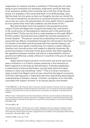imagination (or dream), but also in building it. If the body did not come along to give consistency to sensation, experience would be deprived of its necessary solidity, and it would be lost in the flow of the internal sense. It is arguably in this sense that Kant, in his *Anthropology*, says that the body not only gives us back our thoughts, but also our whole life: "The void of sensations we perceive in ourselves arouses a horror (*horror vacui*) and, as it were, the presentiment of a slow death which is regarded as more painful than when fate suddenly cuts the thread of life."11

But whereas Kant limits his analysis to the perspective of the subject, Fichte and Hegel also recognize the body's key contribution in the construction of intersubjective relations and in the political and juridical field.12 Fichte was the first to make headway on this path. Within Fichte's system, the body becomes indeed the concrete expression of formal freedom: "The person cannot be an absolutely free cause (i.e., a cause that has efficacy immediately through the will) except in the body."13 It is thanks to the flesh-and-blood body that free rational subjects can achieve some given goals, transforming, for instance, a given reflexive intention into concrete action with respect to physical movement. By anchoring freedom in the body, Fichte goes further than Kant regarding the opposition between freedom and nature: a disembodied I would in practice be ineffectual, a body without an I would be in the grip of causal determinism.14

Hegel shares Fichte's position on this point, and at the same time sees a limitation in it: Fichte's system preserves in fact elements of Kant's approach to the body as self-alienation. It thereby establishes a relationship of internal domination over the body where this latter remains in some way something "other."15 This is in direct contrast to what, at least from Hegel's point of view, should be the logical conclusion of Fichte's starting point: a materialist and more specifically physiological understanding of freedom, namely "a holistic conception of an internally concretely free subject 'at home' in its various psychic and somatic

13 Fichte 2000, p. 56.

C R I S I S & C R I T I Q U E / Volume 8 Issue 2

<sup>11</sup> Kant 2006, § 61, p. 129. However, Kant's framework remains dualistic, whereby, while he recognizes empirical and psychophysical determinations as essential to our very being as living and embodied subjects, at the same time he seems to take them as a resistance, an obstacle, to the attainment of freedom.

<sup>12</sup> Rush writes: "although there are faint antecedents in Kant for mutual recognition (*Anerkennung*) as an important ethical concept (e.g. the idea of a 'Kingdom of Ends'), nowhere does Kant allow that mutual recognition between ethical agents is constitutive of ethical agency, as do Fichte and Hegel", Rush 2007, p. 99.

<sup>14</sup> As Bernstein states: "That Fichte, who is often regarded as the arch subjective idealist without concern for the human body, should be forwarding a radically social and material conception of human experience should, at the very least, suggest that our conception of his philosophy wildly betrays its actuality", Bernstein 2007, p. 184.

<sup>15</sup> Gleeson 2020, in part. pp. 41–55.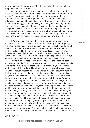determinants or 'inner nature'."16 Fichte seems in this respect to have stopped a few steps earlier.

Moving from a radically anti-dualist perspective, Hegel identifies instead the unified bodily organism as a pre-reflective, non-propositional space. The body becomes the starting point in the construction of all forms of practical relations. It provides the way out of a philosophy otherwise condemned to solipsism and abstraction. As he makes clear in his *Anthropology*, according to Hegel, not only does the body represent the first organ of sense that helps us structure the internal dimension and provide it with content, but above all our relationship with our body constitutes the first juridical form of relationship with something external. The body is thus part of the constitution of the human capacities and functions which are necessary to experience the world and to live in it.

2. As previously mentioned, Hegel's interest in the body has a different orientation compared to what discussed by the anthropology of his time. Rejecting any form of dualism, he does not seek to understand how two supposedly different substances, one thinking substance and one extended body, can act on each other (see the experiments in physiognomy and phrenology). Hegel's premise is instead the coextensiveness of body and soul. They are not two separate elements but constitutively intertwined and indistinguishable from each other.

This form of connection can also be found in the pages devoted to abstract right in the *Outlines*, where it is clear that corporeality is not only a key factor in the shaping of the subjective dimension, but also in the ethical and political sphere. Hegel sees law in its generality as a plane of abstraction, as abstract right. And, just as ideas and thoughts need an individual in order to be thought, likewise law needs the body, that is to say, the individual in its concreteness, to become effective. The dynamics is the same as that which binds the soul to the body in the *Anthropology*. While introducing the first section of the *Outlines*, Hegel feels, in fact, the need to introduce a digression on the core of the relationship between abstract right and its concretization, in the following terms: "The concept and its existence are two sides of the same thing, distinct and united, like soul and body. The body is the same life as the soul and yet both may be spoken of as lying outside one another. A soul without a body would not be a living thing, nor would a body without a soul. Hence the determinate existence [*Dasein*] of the concept is its body, while its body obeys the soul which brought it into being. […] If the body does not match the soul, it is a poor sort of thing. The unity of determinate existence and the concept, of body and soul, is the Idea. The unity is not a mere harmony, but rather a complete interpenetration. Nothing is alive which is not in some way or other Idea. The Idea of right is freedom, and if it is to be truly understood, it

16 Ibid., p. 54.

13

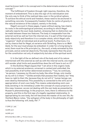must be known both in its concept and in the determinate existence of that concept."17

The fulfillment of freedom through right requires, therefore, the moment of embodiment. This is also the sign of its individuation and the only way to think of the realized idea, even in the juridical sphere. To achieve the ethical world and freedom, these need to be anchored in something concrete. Consequently freedom finds its centre of gravity in the natural existence of the subject, namely in the body.

Hegel's account in these pages, it goes without saying, has clearly its roots in the anthropological premises, according to which Hegel radically rejects the soul‒body dualism, stressing that no distinction can be made between these two features. The body is inseparable from the external world as well as from the internal one, it is part of the triad soulbody-objectivity and therefore it is a complex whole, which Hegel calls "organism" (both at individual and at political level). Furthermore, it is not by chance that for Hegel, at variance with Schelling, there is no *Welt*-*Seele*, for the soul must always be embodied. In order for a living being to exist, there must be a life principle (i.e., the soul), a body animated by this principle, and an external objectivity. The body represents then the pivot for the constitution not only of subjectivity but also of the spiritual world.

3. In the light of the so defined role of the body and of its nature intertwined with the external as well as with the internal world, one might still wonder what limits and possibilities does the will have to act on it?

In the *Outlines* Hegel argues that "I am alive in this organic body which is my external existence, universal in content and undivided, the real possibility of all further determined existence,"18 but, he continues, "as person, I possess my life and my body, like other things, only insofar as my will is in them." 19 Unlike animals that possess their bodies, but "they have no right to their life, because they do not will it," human beings can even destroy themselves. This possibility is connected to the will's act of appropriation of one's own body. This means understanding one's own body (existing in its immediacy) under the concept of *corpus proprium*. In this case, however, we are not dealing with the own body as presented by Husserl's phenomenology. In the *proprium*, here, there is reference to the property, and this is the first sign of a legally regulated relationship. In appropriating its own body, the will becomes the master of its own life. As Vieillard-Baron notes, "the syllogism of the body in the philosophy of right is thus the following: will, body, life".<sup>20</sup>

................................ 17 OPR, § 1, add.

18 OPR, § 47.

19 OPR, § 47.

20 Vieillad-Baron 2001, p. 116 (my transl.).

C R I S I S & C R I T  $\mathbf{I}$ Q U E / Volume 8 Issue 2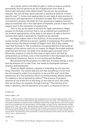As a result, while in the field of right, in order to acquire juridical personality, the will performs an act of abstraction from what is historically and empirically determined ("the person, as something abstract, has not yet been particularized or posited as distinct in some specific way"<sup>21</sup>), it also must appropriate its own body. A dual process of abstraction and appropriation is therefore at stake. But in this apparently contradictory process, the body, far from assuming a negative function, plays an essential role in the realization of freedom, just as it does on the organic level in the realization of subjectivity.

This is why, as he needs to account for legal coexistence, Hegel assigns to the body a function that is not accidental but constitutive:<sup>22</sup> the juridical appropriation of the body in the sphere of right is the first moment that makes it possible for freedom to be realized.

As Hegel makes clear in the *Outlines*, on the juridical level the human being is defined as a person capable of possessing. This definition clearly echoes the liberal mindset of Hegel's time. But it also makes clear that the body is "the *constitutive conceptual element* of the juridical category of the person, and is by no means, for Hegel, the simple external, empirical and extrinsic correlate of an already given personal unity."<sup>23</sup> Obviously, property is only the first step of right, which will find its achievement, as we know, only in the transition to the intersubjective and institutional dimension, that is, in civil society and the State.

But granted that the property is a *definiens* of human beings, a more precise analysis of it is due. First, one needs to distinguish between property and possession.

Property, Hegel explains, consists in extending my will over the thing. Therefore "my inward idea and will that something is to be mine are not enough to make it my property; to secure this end I must take possession of it. The existence which my willing thereby attains entails its capacity to be recognized by others."<sup>24</sup> The process of property requires an act of the will on the thing. In the case of one's own body, this can be done, for example, through training: "The training of my body in dexterity, like the education of my spirit, is likewise a more or

21 OPR, § 49.

## 22 Nuzzo 2000, p. 126.

23 Ibid., p. 133 (my transl.). Angelica Nuzzo also emphasises how the model of appropriation of the subject becomes that of the relationship of appropriation of one's own body, "the relationship to one's own body constitutes the model of every subsequent relationship of appropriation, and, from a logical point of view, establishes the rational basis—the *Grundlage*—of every further relationship (to things and persons)" (ibid., my transl.). Appropriating an object means therefore placing one's own soul in it (§ 44 Z). As a result, Nuzzo adds, the statement that my body is my property becomes the foundation of the statement according to which everything that is my property becomes my body, whereby property becomes "the expansion of the corporeality or physical presence of the subject into the objective world", ibid., p. 134 (my transl.).

24 OPR, § 51.

15

E / Volume 8 Issue 2

C R I S I S & C R I T I Q U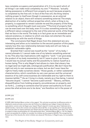less complete occupancy and penetration of it. It is my spirit which of all things I can make most completely my own."25 However, "actually taking possession is different from property as such because property is completed by the free will. In face of the free will, the thing retains nothing proper to itself even though in possession, as an external relation to an object, there still remains something external. The empty abstraction of a matter without properties which, when a thing is my property, is supposed to remain outside me and the property of the thing, is something which thought must overcome."26 The kind of property that can be exercised over the body, even if it is also something external, has a different nature compared to the rest of the external world, of the things that we face in the world. The body is in fact given as an immediate and natural existence, in relation to which one does not entertain the same relationship as with the world of things.

The conclusions that Hegel draws from this statement are very interesting and allow us to transition to the second question of this paper, namely how this new relationship between body and will can help us establish inalienable rights.

Granted that I cannot see myself as the "owner" of my body, I cannot alienate it; I cannot make one of my talents something external to me. This also has implications with regard to "work." I can give away the product of my body momentarily, but if I were to give it up forever, I would lose my actual reality and the possibility to realize myself as a human being. This is why Hegel's text allows to claim that slavery has no legal (and we might add, ontological) justification. We don't have the right not only to own someone as a slave, but we don't even have the right to freely make ourselves slaves: "those goods, or rather substantial characteristics, which constitute my very own person and the universal essence of my self-consciousness are inalienable and my right to them is imprescriptible."27 As an I living in a body, namely as a free being, I cannot "become stupid," I cannot "become a pack animal." "Slavery, serfdom, disqualification from holding property, encumbrances on property, and so forth […] ceding to someone else full power and authority to fix and prescribe what actions are to be done," are therefore not in the power of

25 OPR, § 52.

26 OPR, § 52.

27 OPR, § 66. Vieillard-Baron writes in this regard: "On voit ainsi se préciser la difference entre un idéalisme constructiviste comme celui de Fichte et un idéalisme qui intègre l'empiricité dans la spéculation comme celui de Hegel, pour lequel l'Esprit objectif n'existe que dans l'habitude de la réalité morale, c'est-à-dire comme une seconde nature (§ 151), ce qui signifie qu'il n'est pas absolu. Ce n'est pas dans le champ politique que l'Esprit peut se réaliser absolument, mais dans l'art, dans la religion et dans la philosophie où il est absolument libre", Vieillard-Baron 2001, p. 110. For Hegel it is also not possible for a father to consider his children as his property (§ 43 R). The recognition by Roman law of this faculty (for which children are slaves § 175) shows, in Hegel's eyes, its incompleteness.

& C R I T I Q U E / Volume 8 Issue 2

C R I S I S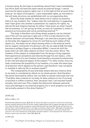a human being. As the body is something natural that I have immediately, but which does not have the same nature as external things, I cannot exercise the same property rights over it. In the light of this account of the body as "an object of exception," some inalienable rights, as inscribed in the will-body structure, are established with no corresponding duty.

Since the body stands for what allows me to realize my essence, that is to say, freedom, this "makes clear the contradiction in supposing that I have given into another's possession my capacity for rights, my ethical life and religious feeling; for either I have given up what I myself did not possess, or I am giving up what, so soon as I possess it, exists in essence as mine alone and not as something external."<sup>28</sup>

The body is therefore not a thing whose property can be claimed, even if the will can exercise a right over it. This is a key element in the relation between will and body. Although I can exercise a property right on the body, this happens by virtue of a will that as such makes of this object (i.e., the body) not an object among others in the external world, but an organic instrument of a person's will. As we read at § 48, the body becomes a *williges Organ* or a *besseltes Mittel*. I cannot do with the body what I do with other objects of which I am the owner. Since "the freedom of the subject is inseparable from his being a living organism that experiences sensations and desires through his own body [...] the person's right to his own freedom must therefore necessarily extend also to the vital and physical aspect of the subject."<sup>29</sup> In other words, since my body constitutes the possibility of my freedom, it is under the same type of protection which applies to the person, and therefore I may not abuse it, mutilate it, take my life or enslave myself.<sup>30</sup>

The inseparability of soul and body means that any violence done to my body is considered an attack on my whole person. And therefore the power exercised by others over my body is a power exercised over me: "If another does violence to my body, he does violence to me. If my body is touched or suffers violence, then, because I feel, I am touched myself actually, here and now. This creates the distinction between personal injury and damage to my external property, for in such property my will is not actually present in this direct fashion."31

28 OPR, § 66.

29 Nuzzo 2000, p. 142.

30 Unlike Kant (*Doctrine of Law*, §§ 24‒27), for whom marriage is a contract in which the contracting parties mutually authorize the use of their bodies, Hegel argues that to regard marriage as a contract is to make the body a thing, a property, a good that the other can enjoy. But if body and soul are not distinct then I cannot separate them in my legal constitution. Kant writes: "Marriage is founded upon the natural Reciprocity or intercommunity (*commercium*) of the Sexes […] For, this natural *Commercium*—as a *usus membrorum et facultatum sexualium alteriu*—is an enjoyment for which the one Person is given up to the other", Kant 1887, §§ 24-25.

31 OPR, § 48.

I S I S & C R I T I Q U E / Volume 8 Issue 2

C R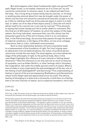But what happens when these fundamental rights are ignored? The path, Hegel writes, is not sealed. Inasmuch as it is a free will, my will cannot be constrained. In extreme cases, it can indeed pull back from the body: "As a living thing a human being may be coerced, i.e. his body or anything else external about him may be brought under the power of others; but the free will cannot be coerced at all (see § 5), except in so far as it fails to withdraw itself out of the external object in which it is held fast, or rather out of its idea of that object (see § 7). Only the will which allows itself to be coerced can in any way be coerced."<sup>32</sup>This amounts to saying that human beings are free to prefer death to constraint. But this final act of affirmation of freedom, by which the subject of the legal sphere, the living individual, renounces their own life, shows how the presumed superiority of the will is illusory. And it is no coincidence that, in the *Phenomenology*, the process that passes through the denial of material conditions, in the figure of the Stoic, arrives at an unhappy conscience, that is, a dim, unfinished consciousness.

Such a close relationship between will and corporeality leads to a reassessment of the foundation of right. Far from hinging upon an abstraction from all determinations, the notion of juridical person cannot but include the own body. The same applies, at a more advanced stage of the philosophy of right, to the political body. Also in this case Hegel highlights the influence of a pre-rational or feeling-based dimension.33 Here the reference is not only and not so much to theories of sympathy, such as Adam Smith's, or other feelings which ultimately, like imagination, fall under the middle-ground control of reason. What is here at stake is more importantly the acknowledgment of the key role of the feeling of self (*Selbstgefühl*)34 and *Gesinnung.*35 This understanding of feeling is typical of the era encompassing Shaftesbury and Hemsterhuis, whose works Hegel read and appreciated since his youth. The ethical feeling of belonging to a state and a community is built then on a feeling that is not only a faculty of reason, but is a physical sensation, which also

32 OPR, § 91.

33 Siep 1990, p. 203.

34 Cf. ibid., p. 204. The domain of the pre-reflective dimension for Hegel, as Siep makes clear, does not end quickly but develops into the *Gesinnungen*, the modes of feeling of ethics.

35 Italo Testa analyzes the shift of the founding moment of recognition from the ethical level to the natural one linked to sexual and reproductive relations. Testa's intention is not, however, to arrive at a naturalization of the ethical relationship. "The question, rather, is whether or not—to conceive Nature in its organization adequately, and thus also Spirit as Nature that returns to itself—every form of description, and every categorial apparatus, has to be reduced to the one we utilize to describe the material properties of bodies—a first-natural naturalism, for example under a physicalist description. Hegel's answer is, in that case, 'no,' since his analysis is, at bottom, dictated by the need to arrive at a broader concept of Nature, capable of embracing the totality of living realities—a broad or liberal naturalism capable of embracing the various levels of organization of living beings, including those phenomena of their social organization that we can also consider as spiritual second nature", Testa 2012, p. 25.

I S I S & C R I T I Q U E / Volume 8

C R

Issue 2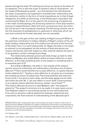passes through the body. This feeling structures our being on the basis of its repetition. This is also the origin of Jensen's idea of corporations – on the model of Renaissance guilds – as a link between the individual and the state. Corporations are supposed to translate their relationship with the institution neither in the form of moral imperatives nor in that of legal obligations, but rather as *Stimmung*, or the feeling each corporation has concerning the State. As it is the case for the structuring of subjectivity in the realm of anthropology, the *Stimmung* stands for a first step toward a process of subjectification, albeit still at an unconscious level, but which will not be lost in the conceptual reworking. The *Stimmung* remains one of the first elements of predisposition to openness to otherness which can and must certainly be formed, educated, but not cancelled.

4. What is the gain of this new reading of Hegel's account? What is the potential contribution to today's debates of Hegel's outline of the willbody-freedom relationship and of his dialectical retrieval of the function of the body? First, it is worth stating that, for Hegel, the body is not simply an element to be subjugated, but the notions of body and person are closely intertwined, and with respect to other external objects the body is to be granted a certain ontological privilege.

The relationship between person and body brings us back to what Catherine Malabou and Judith Butler define as hetero-affection or autoaffection. Is the body something alien to the subject or something that is an essential part of it?

According to Malabou, the body is "the outside of the subject," and the structure of the body-will relationship is therefore one of *heteroaffection.*36 There would therefore be no auto-affection, no ipseity that preexists subjectivity<sup>37</sup>: "Ipseity or auto-affection is not given as a necessary pre-existing structure of subjectivity. The transcendental and empirical forms of the 'I' are alien to each other, and the body appears as an other self within the self. No 'I' can ever affect or touch itself. Consciousness is an originary hetero-affected structure, always 'out of itself.'"38 This hetero-affected structure is what Malabou calls "the subject's plasticity." The subject's structure is to be made; it is never given *a priori*. The Hegelian subject is not existing outside its own self-production. If we were to assume a radical disjunction between subjectivity and corporeality, the final moment of understanding of the absolute spirit

C R I S I S & C R I T  $\mathbf{I}$ 

Volume 8 Issue 2

<sup>36</sup> Malabou/Butler 2011. Analysing the figure of the lordship-servitude in relation to that of the unhappy conscience, Malabou identifies two models of relationship with the body: one of attachment to the self (in which the servant forms the world through his body and recognizes himself), the other of detachment from the self (the subjugation of the body in the unhappy conscience) in function of the prevalence of a fully spiritual dimension.

<sup>37</sup> Cf. Malabou 2013.

<sup>38</sup> C. Malabou, *Unbind Me*, in Malabou/Butler 2011, p. 624. See also: Malabou 2005, in part. pp. 55‒75.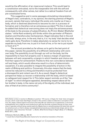would be the affirmation of an *impersonal instance*. This would lead to a constitution entrusted, not to the inseparable link with the self and consequently with other selves, but rather to a radical freedom from all pre-constituted forms.

This suggestive and in some passages stimulating interpretation of Hegel's text, contradicts, in my opinion, the starting premise of Hegel's account, namely that every individual life exists only insofar as it has a body, which is destined (*bestimmt*) to become its own in a process of formation and is therefore not an extraneous accident.39 To this it should be added that dialectical overcoming does not imply the extraneousness of the body to the process of subjectification. As Pirmin Stekel-Wiethofer states: "while Kant evidently still thinks within the perimeter of Platonic dualism and therefore also Cartesianism, Hegel indicates that in the end 'the body' always wins. In the end, that is, it is 'my body' that decides what really gets done. Therefore it makes absolutely no sense for me to try to separate my body from me, to put it in front of me, or for me to put myself in front of it."40

The account provided so far allows us to get to the last point of this paper, namely the possibility of a different relationship with one's own body. The possibility to act through our will on the body, but the impossibility to have full property over it, leaves a margin of openness between will and corporeality, a margin in which freedom and choice can find their space for achievement. Thanks to this non-coincidence between will and body, which would otherwise result in a form of deterministic causalism, it is also possible to imagine the possibility of action in the realm of *Bildung* and politics. Conversely, this also means that the body cannot be reduced to a thing and therefore must be protected from a disrespectful and violent use of it. As a result, Hegel's dialectical perspective helps us recover a relationship with the body, which is based on safeguard and respect for it. This latter aspect reminds us of the "law of night" to which *Antigone* appealed, demanding respect above all for her brother's body, in the name not only of the dignity of the individual, but also of that of an entire community\*.

C R I

<sup>39</sup> As Butler writes in reaction to Malabou's position: "Of course, in Hegel, the 'body' does not appear as such, which could mean that Hegel, at least in this context, seeks to elaborate a conception of desire, life, shape, without explicit recourse to the body. We can read this as a suppression, a structural somatophobia, but it might be more productive to ask how the body is always leaving its trace, even when it operates without being named explicitly. Maybe there is something about the body that cannot be named as such, or that is always conceptualized exclusively as a determinate shape, and so misrecognized, when it becomes 'the body'", J. Butler, *What Kind of Shape Is Hegel's Body in?* in Malabou/ Butler 2011, p. 632.

<sup>40</sup> Stekeler-Weithofer 2008, pp. 186‒187. \* I would like to thank Tessa Marzotto Caotorta for her attentive translation of the text.